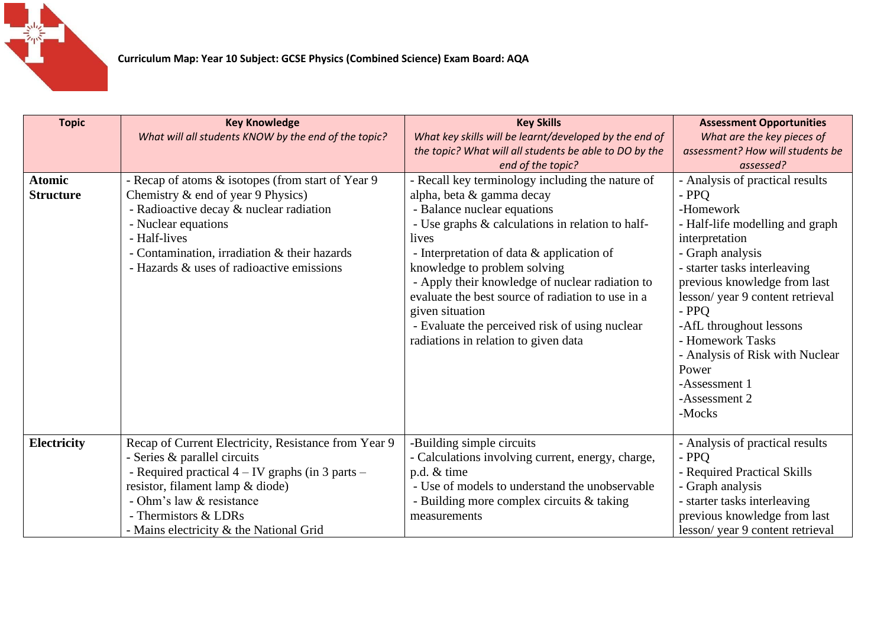

| <b>Topic</b>                      | <b>Key Knowledge</b><br>What will all students KNOW by the end of the topic?                                                                                                                                                                                                    | <b>Key Skills</b><br>What key skills will be learnt/developed by the end of<br>the topic? What will all students be able to DO by the<br>end of the topic?                                                                                                                                                                                                                                                                                                                  | <b>Assessment Opportunities</b><br>What are the key pieces of<br>assessment? How will students be<br>assessed?                                                                                                                                                                                                                                                                      |
|-----------------------------------|---------------------------------------------------------------------------------------------------------------------------------------------------------------------------------------------------------------------------------------------------------------------------------|-----------------------------------------------------------------------------------------------------------------------------------------------------------------------------------------------------------------------------------------------------------------------------------------------------------------------------------------------------------------------------------------------------------------------------------------------------------------------------|-------------------------------------------------------------------------------------------------------------------------------------------------------------------------------------------------------------------------------------------------------------------------------------------------------------------------------------------------------------------------------------|
| <b>Atomic</b><br><b>Structure</b> | - Recap of atoms & isotopes (from start of Year 9<br>Chemistry & end of year 9 Physics)<br>- Radioactive decay & nuclear radiation<br>- Nuclear equations<br>- Half-lives<br>- Contamination, irradiation & their hazards<br>- Hazards & uses of radioactive emissions          | - Recall key terminology including the nature of<br>alpha, beta & gamma decay<br>- Balance nuclear equations<br>- Use graphs & calculations in relation to half-<br>lives<br>- Interpretation of data & application of<br>knowledge to problem solving<br>- Apply their knowledge of nuclear radiation to<br>evaluate the best source of radiation to use in a<br>given situation<br>- Evaluate the perceived risk of using nuclear<br>radiations in relation to given data | - Analysis of practical results<br>- PPO<br>-Homework<br>- Half-life modelling and graph<br>interpretation<br>- Graph analysis<br>- starter tasks interleaving<br>previous knowledge from last<br>lesson/year 9 content retrieval<br>$-$ PPO<br>-AfL throughout lessons<br>- Homework Tasks<br>- Analysis of Risk with Nuclear<br>Power<br>-Assessment 1<br>-Assessment 2<br>-Mocks |
| Electricity                       | Recap of Current Electricity, Resistance from Year 9<br>- Series & parallel circuits<br>- Required practical $4 - IV$ graphs (in 3 parts $-$<br>resistor, filament lamp & diode)<br>- Ohm's law & resistance<br>- Thermistors & LDRs<br>- Mains electricity & the National Grid | -Building simple circuits<br>- Calculations involving current, energy, charge,<br>p.d. & time<br>- Use of models to understand the unobservable<br>- Building more complex circuits & taking<br>measurements                                                                                                                                                                                                                                                                | - Analysis of practical results<br>- PPO<br>- Required Practical Skills<br>- Graph analysis<br>- starter tasks interleaving<br>previous knowledge from last<br>lesson/year 9 content retrieval                                                                                                                                                                                      |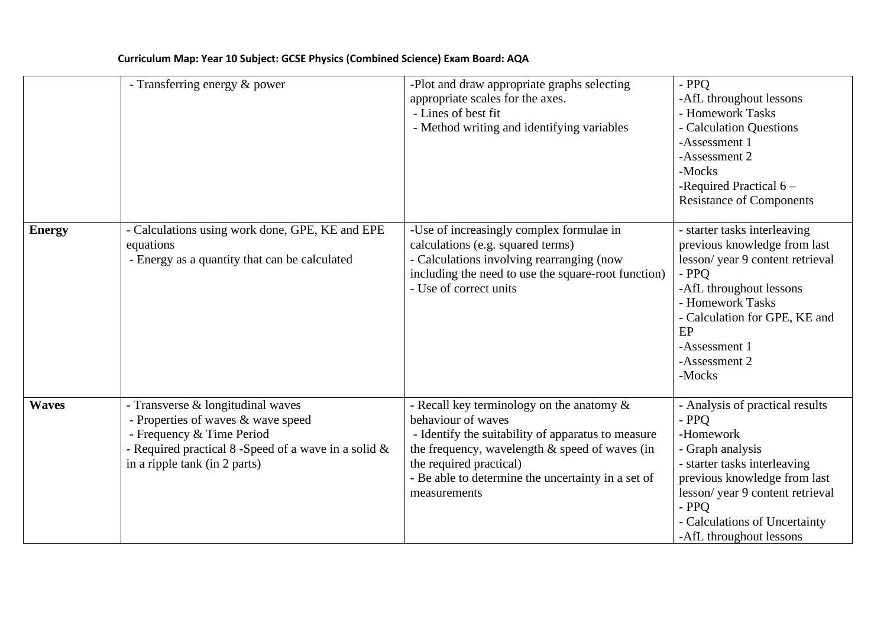|               | - Transferring energy & power                                                                                                                                                                 | -Plot and draw appropriate graphs selecting<br>appropriate scales for the axes.<br>- Lines of best fit<br>- Method writing and identifying variables                                                                                                                           | $-$ PPO<br>-AfL throughout lessons<br>- Homework Tasks<br>- Calculation Questions<br>-Assessment 1<br>-Assessment 2<br>-Mocks<br>-Required Practical 6 -<br><b>Resistance of Components</b>                                                       |
|---------------|-----------------------------------------------------------------------------------------------------------------------------------------------------------------------------------------------|--------------------------------------------------------------------------------------------------------------------------------------------------------------------------------------------------------------------------------------------------------------------------------|---------------------------------------------------------------------------------------------------------------------------------------------------------------------------------------------------------------------------------------------------|
| <b>Energy</b> | - Calculations using work done, GPE, KE and EPE<br>equations<br>- Energy as a quantity that can be calculated                                                                                 | -Use of increasingly complex formulae in<br>calculations (e.g. squared terms)<br>- Calculations involving rearranging (now<br>including the need to use the square-root function)<br>- Use of correct units                                                                    | - starter tasks interleaving<br>previous knowledge from last<br>lesson/year 9 content retrieval<br>- PPQ<br>-AfL throughout lessons<br>- Homework Tasks<br>- Calculation for GPE, KE and<br>EP<br>-Assessment 1<br>-Assessment 2<br>-Mocks        |
| <b>Waves</b>  | - Transverse & longitudinal waves<br>- Properties of waves & wave speed<br>- Frequency & Time Period<br>- Required practical 8 -Speed of a wave in a solid &<br>in a ripple tank (in 2 parts) | - Recall key terminology on the anatomy $\&$<br>behaviour of waves<br>- Identify the suitability of apparatus to measure<br>the frequency, wavelength $\&$ speed of waves (in<br>the required practical)<br>- Be able to determine the uncertainty in a set of<br>measurements | - Analysis of practical results<br>- PPQ<br>-Homework<br>- Graph analysis<br>- starter tasks interleaving<br>previous knowledge from last<br>lesson/year 9 content retrieval<br>- PPQ<br>- Calculations of Uncertainty<br>-AfL throughout lessons |

## **Curriculum Map: Year 10 Subject: GCSE Physics (Combined Science) Exam Board: AQA**